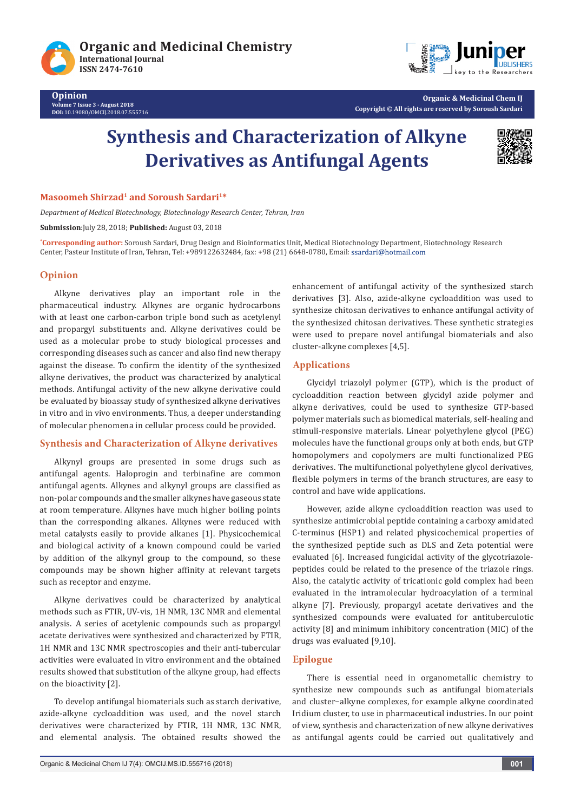

**Opinion**

**Volume 7 Issue 3 - August 2018 DOI:** [10.19080/OMCIJ.2018.07.555716](http://dx.doi.org/10.19080/OMCIJ.2018.07.555716)



**Organic & Medicinal Chem IJ Copyright © All rights are reserved by Soroush Sardari**

# **Synthesis and Characterization of Alkyne Derivatives as Antifungal Agents**



## **Masoomeh Shirzad<sup>1</sup> and Soroush Sardari<sup>1\*</sup>**

*Department of Medical Biotechnology, Biotechnology Research Center, Tehran, Iran* 

**Submission**:July 28, 2018; **Published:** August 03, 2018

**\* Corresponding author:** Soroush Sardari, Drug Design and Bioinformatics Unit, Medical Biotechnology Department, Biotechnology Research Center, Pasteur Institute of Iran, Tehran, Tel: +989122632484, fax: +98 (21) 6648-0780, Email: ssardari@hotmail.com

### **Opinion**

Alkyne derivatives play an important role in the pharmaceutical industry. Alkynes are organic hydrocarbons with at least one carbon-carbon triple bond such as acetylenyl and propargyl substituents and. Alkyne derivatives could be used as a molecular probe to study biological processes and corresponding diseases such as cancer and also find new therapy against the disease. To confirm the identity of the synthesized alkyne derivatives, the product was characterized by analytical methods. Antifungal activity of the new alkyne derivative could be evaluated by bioassay study of synthesized alkyne derivatives in vitro and in vivo environments. Thus, a deeper understanding of molecular phenomena in cellular process could be provided.

# **Synthesis and Characterization of Alkyne derivatives**

Alkynyl groups are presented in some drugs such as antifungal agents. Haloprogin and terbinafine are common antifungal agents. Alkynes and alkynyl groups are classified as non-polar compounds and the smaller alkynes have gaseous state at room temperature. Alkynes have much higher boiling points than the corresponding alkanes. Alkynes were reduced with metal catalysts easily to provide alkanes [1]. Physicochemical and biological activity of a known compound could be varied by addition of the alkynyl group to the compound, so these compounds may be shown higher affinity at relevant targets such as receptor and enzyme.

Alkyne derivatives could be characterized by analytical methods such as FTIR, UV-vis, 1H NMR, 13C NMR and elemental analysis. A series of acetylenic compounds such as propargyl acetate derivatives were synthesized and characterized by FTIR, 1H NMR and 13C NMR spectroscopies and their anti-tubercular activities were evaluated in vitro environment and the obtained results showed that substitution of the alkyne group, had effects on the bioactivity [2].

To develop antifungal biomaterials such as starch derivative, azide-alkyne cycloaddition was used, and the novel starch derivatives were characterized by FTIR, 1H NMR, 13C NMR, and elemental analysis. The obtained results showed the

enhancement of antifungal activity of the synthesized starch derivatives [3]. Also, azide-alkyne cycloaddition was used to synthesize chitosan derivatives to enhance antifungal activity of the synthesized chitosan derivatives. These synthetic strategies were used to prepare novel antifungal biomaterials and also cluster-alkyne complexes [4,5].

# **Applications**

Glycidyl triazolyl polymer (GTP), which is the product of cycloaddition reaction between glycidyl azide polymer and alkyne derivatives, could be used to synthesize GTP-based polymer materials such as biomedical materials, self-healing and stimuli-responsive materials. Linear polyethylene glycol (PEG) molecules have the functional groups only at both ends, but GTP homopolymers and copolymers are multi functionalized PEG derivatives. The multifunctional polyethylene glycol derivatives, flexible polymers in terms of the branch structures, are easy to control and have wide applications.

However, azide alkyne cycloaddition reaction was used to synthesize antimicrobial peptide containing a carboxy amidated C-terminus (HSP1) and related physicochemical properties of the synthesized peptide such as DLS and Zeta potential were evaluated [6]. Increased fungicidal activity of the glycotriazolepeptides could be related to the presence of the triazole rings. Also, the catalytic activity of tricationic gold complex had been evaluated in the intramolecular hydroacylation of a terminal alkyne [7]. Previously, propargyl acetate derivatives and the synthesized compounds were evaluated for antituberculotic activity [8] and minimum inhibitory concentration (MIC) of the drugs was evaluated [9,10].

# **Epilogue**

There is essential need in organometallic chemistry to synthesize new compounds such as antifungal biomaterials and cluster−alkyne complexes, for example alkyne coordinated Iridium cluster, to use in pharmaceutical industries. In our point of view, synthesis and characterization of new alkyne derivatives as antifungal agents could be carried out qualitatively and